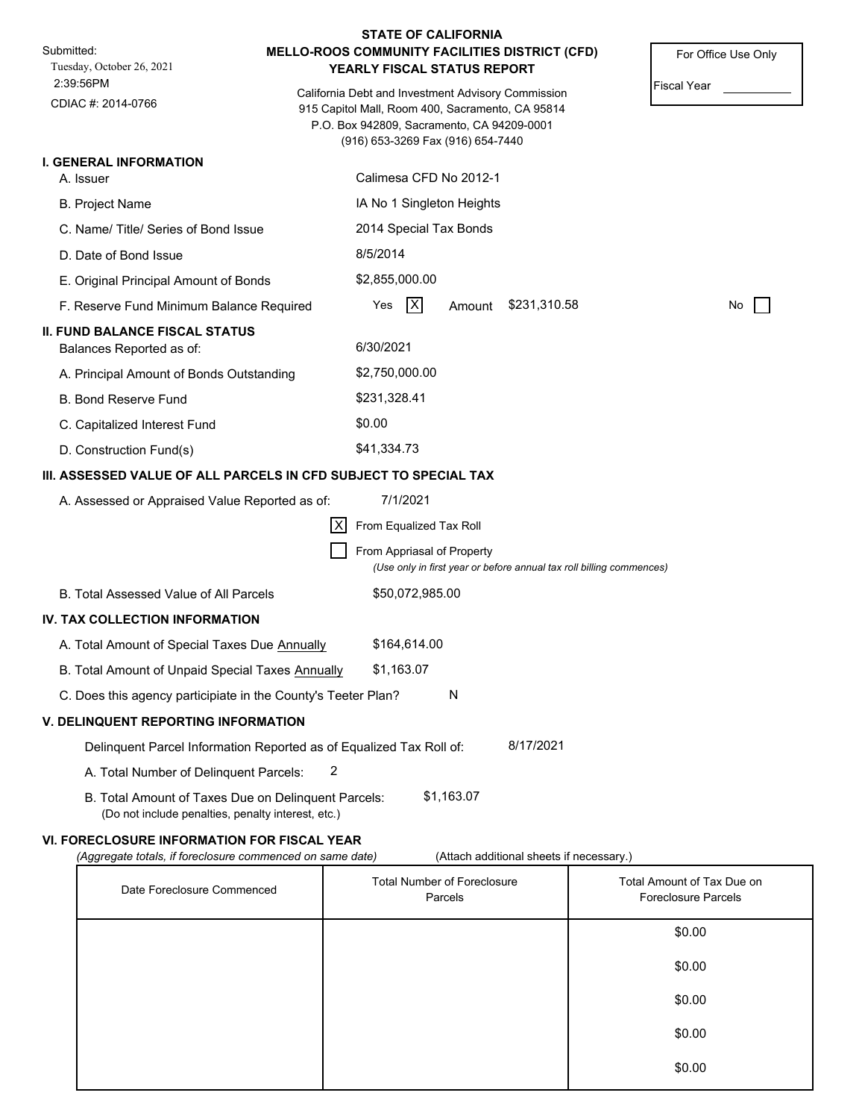|                                                                                                           |     |                                                                                 |   | <b>STATE OF CALIFORNIA</b> |                                                                                                        |                    |                     |
|-----------------------------------------------------------------------------------------------------------|-----|---------------------------------------------------------------------------------|---|----------------------------|--------------------------------------------------------------------------------------------------------|--------------------|---------------------|
| Submitted:<br>Tuesday, October 26, 2021                                                                   |     | YEARLY FISCAL STATUS REPORT                                                     |   |                            | MELLO-ROOS COMMUNITY FACILITIES DISTRICT (CFD)                                                         |                    | For Office Use Only |
| 2:39:56PM<br>CDIAC #: 2014-0766                                                                           |     | P.O. Box 942809, Sacramento, CA 94209-0001<br>(916) 653-3269 Fax (916) 654-7440 |   |                            | California Debt and Investment Advisory Commission<br>915 Capitol Mall, Room 400, Sacramento, CA 95814 | <b>Fiscal Year</b> |                     |
| <b>I. GENERAL INFORMATION</b>                                                                             |     |                                                                                 |   |                            |                                                                                                        |                    |                     |
| A. Issuer                                                                                                 |     | Calimesa CFD No 2012-1                                                          |   |                            |                                                                                                        |                    |                     |
| <b>B. Project Name</b>                                                                                    |     | IA No 1 Singleton Heights                                                       |   |                            |                                                                                                        |                    |                     |
| C. Name/Title/Series of Bond Issue                                                                        |     | 2014 Special Tax Bonds                                                          |   |                            |                                                                                                        |                    |                     |
| D. Date of Bond Issue                                                                                     |     | 8/5/2014                                                                        |   |                            |                                                                                                        |                    |                     |
| E. Original Principal Amount of Bonds                                                                     |     | \$2,855,000.00                                                                  |   |                            |                                                                                                        |                    |                     |
| F. Reserve Fund Minimum Balance Required                                                                  |     | Yes                                                                             | X | Amount                     | \$231,310.58                                                                                           |                    | No                  |
| <b>II. FUND BALANCE FISCAL STATUS</b><br>Balances Reported as of:                                         |     | 6/30/2021                                                                       |   |                            |                                                                                                        |                    |                     |
| A. Principal Amount of Bonds Outstanding                                                                  |     | \$2,750,000.00                                                                  |   |                            |                                                                                                        |                    |                     |
| <b>B. Bond Reserve Fund</b>                                                                               |     | \$231,328.41                                                                    |   |                            |                                                                                                        |                    |                     |
| C. Capitalized Interest Fund                                                                              |     | \$0.00                                                                          |   |                            |                                                                                                        |                    |                     |
| D. Construction Fund(s)                                                                                   |     | \$41,334.73                                                                     |   |                            |                                                                                                        |                    |                     |
| III. ASSESSED VALUE OF ALL PARCELS IN CFD SUBJECT TO SPECIAL TAX                                          |     |                                                                                 |   |                            |                                                                                                        |                    |                     |
| A. Assessed or Appraised Value Reported as of:                                                            |     | 7/1/2021                                                                        |   |                            |                                                                                                        |                    |                     |
|                                                                                                           | IXI | From Equalized Tax Roll                                                         |   |                            |                                                                                                        |                    |                     |
|                                                                                                           |     | From Appriasal of Property                                                      |   |                            | (Use only in first year or before annual tax roll billing commences)                                   |                    |                     |
| B. Total Assessed Value of All Parcels                                                                    |     | \$50,072,985.00                                                                 |   |                            |                                                                                                        |                    |                     |
| IV. TAX COLLECTION INFORMATION                                                                            |     |                                                                                 |   |                            |                                                                                                        |                    |                     |
| A. Total Amount of Special Taxes Due Annually                                                             |     | \$164,614.00                                                                    |   |                            |                                                                                                        |                    |                     |
| B. Total Amount of Unpaid Special Taxes Annually                                                          |     | \$1,163.07                                                                      |   |                            |                                                                                                        |                    |                     |
| C. Does this agency participiate in the County's Teeter Plan?                                             |     |                                                                                 |   | N                          |                                                                                                        |                    |                     |
| <b>V. DELINQUENT REPORTING INFORMATION</b>                                                                |     |                                                                                 |   |                            |                                                                                                        |                    |                     |
| Delinquent Parcel Information Reported as of Equalized Tax Roll of:                                       |     |                                                                                 |   |                            | 8/17/2021                                                                                              |                    |                     |
| A. Total Number of Delinquent Parcels:                                                                    | 2   |                                                                                 |   |                            |                                                                                                        |                    |                     |
| B. Total Amount of Taxes Due on Delinquent Parcels:<br>(Do not include penalties, penalty interest, etc.) |     |                                                                                 |   | \$1,163.07                 |                                                                                                        |                    |                     |
|                                                                                                           |     |                                                                                 |   |                            |                                                                                                        |                    |                     |

# **VI. FORECLOSURE INFORMATION FOR FISCAL YEAR**

*(Aggregate totals, if foreclosure commenced on same date)* (Attach additional sheets if necessary.)

| Date Foreclosure Commenced | <b>Total Number of Foreclosure</b><br>Parcels | Total Amount of Tax Due on<br><b>Foreclosure Parcels</b> |
|----------------------------|-----------------------------------------------|----------------------------------------------------------|
|                            |                                               | \$0.00                                                   |
|                            |                                               | \$0.00                                                   |
|                            |                                               | \$0.00                                                   |
|                            |                                               | \$0.00                                                   |
|                            |                                               | \$0.00                                                   |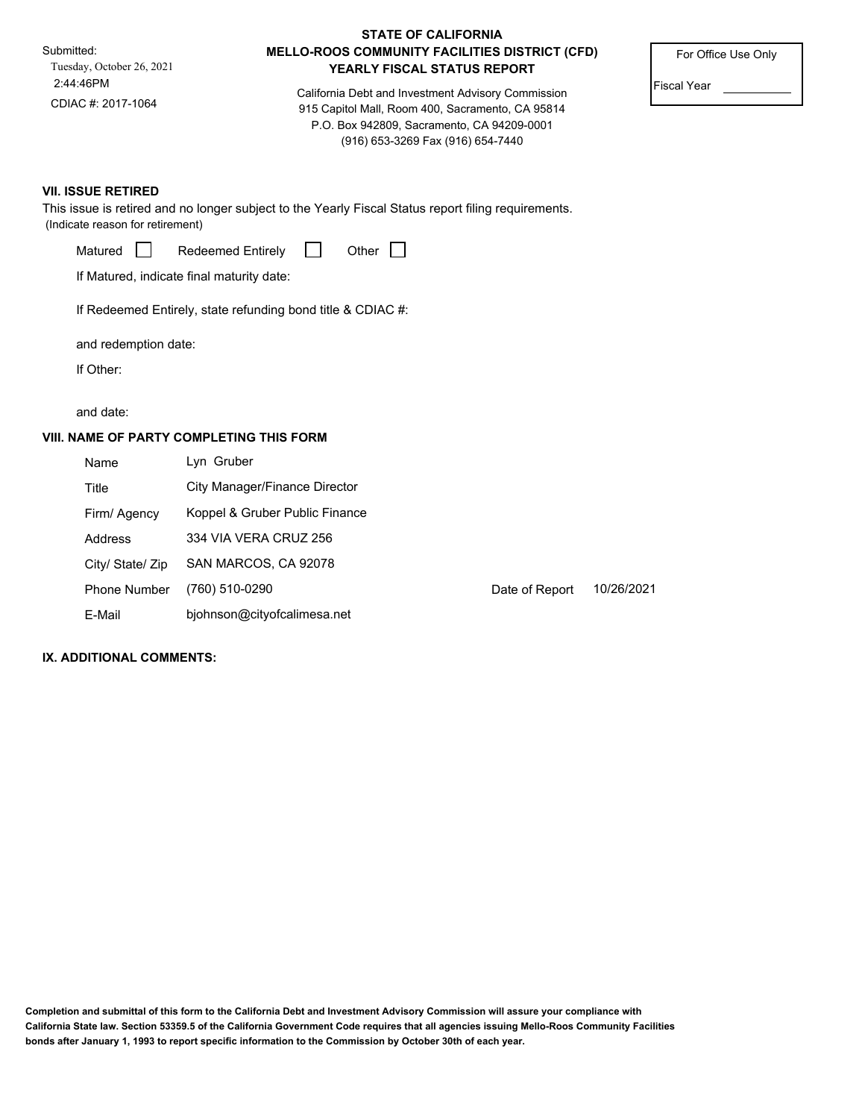Submitted: 2:44:46PM Tuesday, October 26, 2021 CDIAC #: 2017-1064

## **STATE OF CALIFORNIA MELLO-ROOS COMMUNITY FACILITIES DISTRICT (CFD) YEARLY FISCAL STATUS REPORT**

California Debt and Investment Advisory Commission 915 Capitol Mall, Room 400, Sacramento, CA 95814 P.O. Box 942809, Sacramento, CA 94209-0001 (916) 653-3269 Fax (916) 654-7440

For Office Use Only

Fiscal Year

## **VII. ISSUE RETIRED**

This issue is retired and no longer subject to the Yearly Fiscal Status report filing requirements. (Indicate reason for retirement)

| Matured |  | <b>Redeemed Entirely</b> |  | Other |  |  |
|---------|--|--------------------------|--|-------|--|--|
|---------|--|--------------------------|--|-------|--|--|

If Matured, indicate final maturity date:

If Redeemed Entirely, state refunding bond title & CDIAC #:

and redemption date:

If Other:

and date:

## **VIII. NAME OF PARTY COMPLETING THIS FORM**

| Name                | Lyn Gruber                     |                |            |
|---------------------|--------------------------------|----------------|------------|
| Title               | City Manager/Finance Director  |                |            |
| Firm/ Agency        | Koppel & Gruber Public Finance |                |            |
| Address             | 334 VIA VERA CRUZ 256          |                |            |
| City/ State/ Zip    | SAN MARCOS, CA 92078           |                |            |
| <b>Phone Number</b> | (760) 510-0290                 | Date of Report | 10/26/2021 |
| E-Mail              | bjohnson@cityofcalimesa.net    |                |            |

#### **IX. ADDITIONAL COMMENTS:**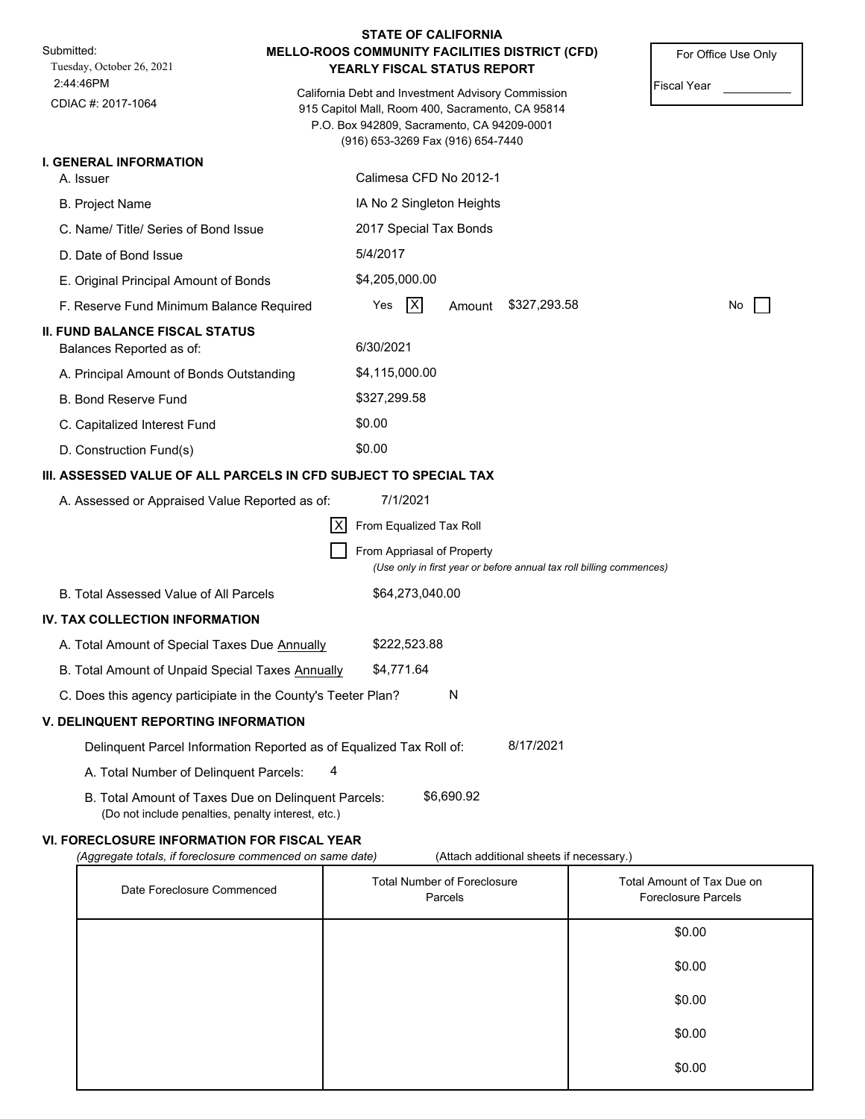| Submitted:<br>Tuesday, October 26, 2021                                                                   | MELLO-ROOS COMMUNITY FACILITIES DISTRICT (CFD)<br>For Office Use Only<br>YEARLY FISCAL STATUS REPORT                                                                                                            |
|-----------------------------------------------------------------------------------------------------------|-----------------------------------------------------------------------------------------------------------------------------------------------------------------------------------------------------------------|
| 2:44:46PM<br>CDIAC #: 2017-1064                                                                           | <b>Fiscal Year</b><br>California Debt and Investment Advisory Commission<br>915 Capitol Mall, Room 400, Sacramento, CA 95814<br>P.O. Box 942809, Sacramento, CA 94209-0001<br>(916) 653-3269 Fax (916) 654-7440 |
| <b>I. GENERAL INFORMATION</b>                                                                             |                                                                                                                                                                                                                 |
| A. Issuer                                                                                                 | Calimesa CFD No 2012-1                                                                                                                                                                                          |
| <b>B. Project Name</b>                                                                                    | IA No 2 Singleton Heights                                                                                                                                                                                       |
| C. Name/Title/Series of Bond Issue                                                                        | 2017 Special Tax Bonds                                                                                                                                                                                          |
| D. Date of Bond Issue                                                                                     | 5/4/2017                                                                                                                                                                                                        |
| E. Original Principal Amount of Bonds                                                                     | \$4,205,000.00                                                                                                                                                                                                  |
| F. Reserve Fund Minimum Balance Required                                                                  | $\mathsf{X}$<br>\$327,293.58<br>Yes<br>Amount<br>No                                                                                                                                                             |
| <b>II. FUND BALANCE FISCAL STATUS</b><br>Balances Reported as of:                                         | 6/30/2021                                                                                                                                                                                                       |
| A. Principal Amount of Bonds Outstanding                                                                  | \$4,115,000.00                                                                                                                                                                                                  |
| <b>B. Bond Reserve Fund</b>                                                                               | \$327,299.58                                                                                                                                                                                                    |
| C. Capitalized Interest Fund                                                                              | \$0.00                                                                                                                                                                                                          |
| D. Construction Fund(s)                                                                                   | \$0.00                                                                                                                                                                                                          |
|                                                                                                           | III. ASSESSED VALUE OF ALL PARCELS IN CFD SUBJECT TO SPECIAL TAX                                                                                                                                                |
| A. Assessed or Appraised Value Reported as of:                                                            | 7/1/2021                                                                                                                                                                                                        |
|                                                                                                           | IXI<br>From Equalized Tax Roll                                                                                                                                                                                  |
|                                                                                                           | From Appriasal of Property<br>(Use only in first year or before annual tax roll billing commences)                                                                                                              |
| B. Total Assessed Value of All Parcels                                                                    | \$64,273,040.00                                                                                                                                                                                                 |
| IV. TAX COLLECTION INFORMATION                                                                            |                                                                                                                                                                                                                 |
| A. Total Amount of Special Taxes Due Annually                                                             | \$222,523.88                                                                                                                                                                                                    |
| B. Total Amount of Unpaid Special Taxes Annually                                                          | \$4,771.64                                                                                                                                                                                                      |
| C. Does this agency participiate in the County's Teeter Plan?                                             | N                                                                                                                                                                                                               |
| <b>V. DELINQUENT REPORTING INFORMATION</b>                                                                |                                                                                                                                                                                                                 |
|                                                                                                           | 8/17/2021<br>Delinquent Parcel Information Reported as of Equalized Tax Roll of:                                                                                                                                |
| A. Total Number of Delinquent Parcels:                                                                    | 4                                                                                                                                                                                                               |
| B. Total Amount of Taxes Due on Delinquent Parcels:<br>(Do not include penalties, penalty interest, etc.) | \$6,690.92                                                                                                                                                                                                      |

# **VI. FORECLOSURE INFORMATION FOR FISCAL YEAR**

*(Aggregate totals, if foreclosure commenced on same date)* (Attach additional sheets if necessary.)

| Date Foreclosure Commenced | <b>Total Number of Foreclosure</b><br>Parcels | Total Amount of Tax Due on<br><b>Foreclosure Parcels</b> |
|----------------------------|-----------------------------------------------|----------------------------------------------------------|
|                            |                                               | \$0.00                                                   |
|                            |                                               | \$0.00                                                   |
|                            |                                               | \$0.00                                                   |
|                            |                                               | \$0.00                                                   |
|                            |                                               | \$0.00                                                   |